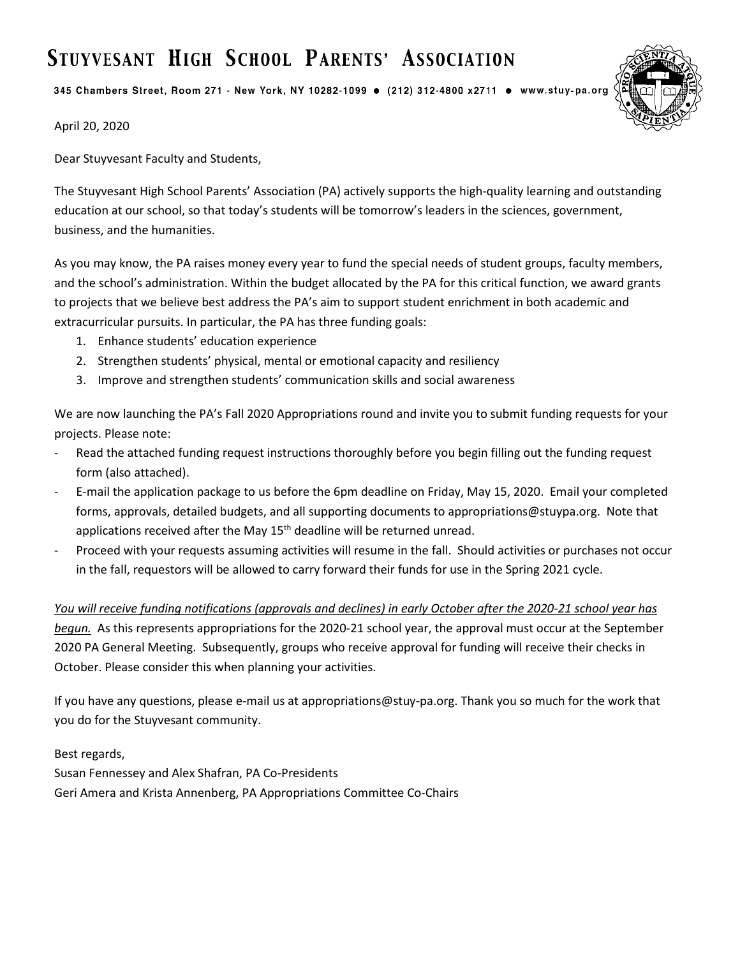# STUYVESANT HIGH SCHOOL PARENTS' ASSOCIATION

345 Chambers Street, Room 271 - New York, NY 10282-1099 · (212) 312-4800 x2711 · www.stuy-pa.org



April 20, 2020

Dear Stuyvesant Faculty and Students,

The Stuyvesant High School Parents' Association (PA) actively supports the high-quality learning and outstanding education at our school, so that today's students will be tomorrow's leaders in the sciences, government, business, and the humanities.

As you may know, the PA raises money every year to fund the special needs of student groups, faculty members, and the school's administration. Within the budget allocated by the PA for this critical function, we award grants to projects that we believe best address the PA's aim to support student enrichment in both academic and extracurricular pursuits. In particular, the PA has three funding goals:

- 1. Enhance students' education experience
- 2. Strengthen students' physical, mental or emotional capacity and resiliency
- 3. Improve and strengthen students' communication skills and social awareness

We are now launching the PA's Fall 2020 Appropriations round and invite you to submit funding requests for your projects. Please note:

- Read the attached funding request instructions thoroughly before you begin filling out the funding request form (also attached).
- E-mail the application package to us before the 6pm deadline on Friday, May 15, 2020. Email your completed forms, approvals, detailed budgets, and all supporting documents to appropriations@stuypa.org. Note that applications received after the May  $15<sup>th</sup>$  deadline will be returned unread.
- Proceed with your requests assuming activities will resume in the fall. Should activities or purchases not occur in the fall, requestors will be allowed to carry forward their funds for use in the Spring 2021 cycle.

#### *You will receive funding notifications (approvals and declines) in early October after the 2020-21 school year has*

*begun.* As this represents appropriations for the 2020-21 school year, the approval must occur at the September 2020 PA General Meeting. Subsequently, groups who receive approval for funding will receive their checks in October. Please consider this when planning your activities.

If you have any questions, please e-mail us at appropriations@stuy-pa.org. Thank you so much for the work that you do for the Stuyvesant community.

#### Best regards,

Susan Fennessey and Alex Shafran, PA Co-Presidents Geri Amera and Krista Annenberg, PA Appropriations Committee Co-Chairs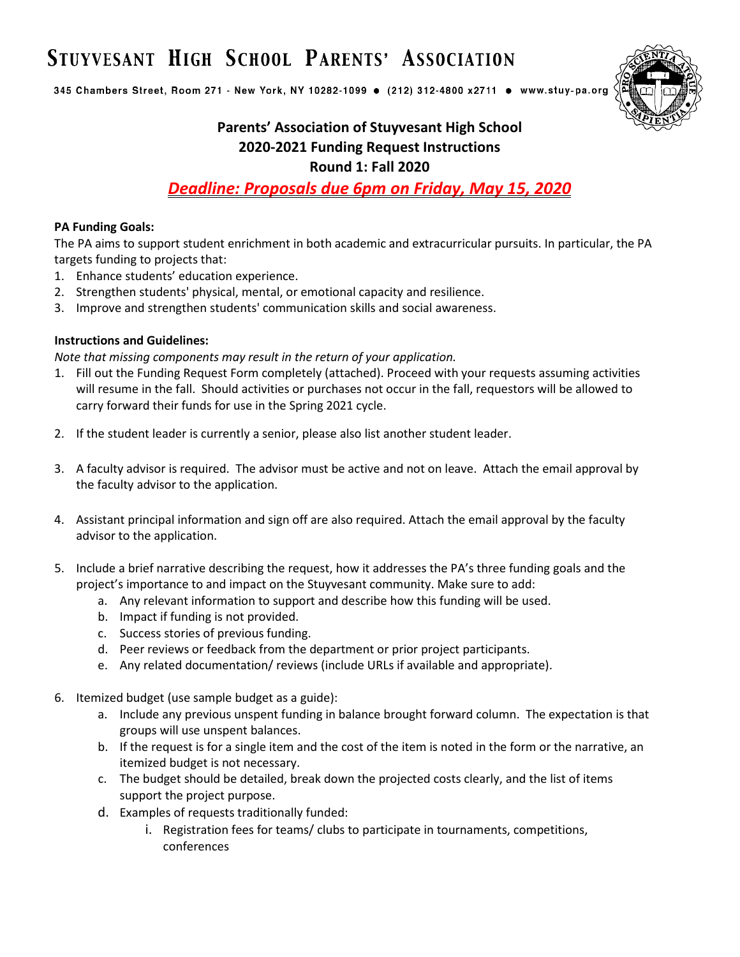# STUYVESANT HIGH SCHOOL PARENTS' ASSOCIATION

345 Chambers Street, Room 271 - New York, NY 10282-1099 · (212) 312-4800 x2711 · www.stuy-pa.org



### **Parents' Association of Stuyvesant High School 2020-2021 Funding Request Instructions Round 1: Fall 2020**

*Deadline: Proposals due 6pm on Friday, May 15, 2020*

#### **PA Funding Goals:**

The PA aims to support student enrichment in both academic and extracurricular pursuits. In particular, the PA targets funding to projects that:

- 1. Enhance students' education experience.
- 2. Strengthen students' physical, mental, or emotional capacity and resilience.
- 3. Improve and strengthen students' communication skills and social awareness.

#### **Instructions and Guidelines:**

*Note that missing components may result in the return of your application.*

- 1. Fill out the Funding Request Form completely (attached). Proceed with your requests assuming activities will resume in the fall. Should activities or purchases not occur in the fall, requestors will be allowed to carry forward their funds for use in the Spring 2021 cycle.
- 2. If the student leader is currently a senior, please also list another student leader.
- 3. A faculty advisor is required. The advisor must be active and not on leave. Attach the email approval by the faculty advisor to the application.
- 4. Assistant principal information and sign off are also required. Attach the email approval by the faculty advisor to the application.
- 5. Include a brief narrative describing the request, how it addresses the PA's three funding goals and the project's importance to and impact on the Stuyvesant community. Make sure to add:
	- a. Any relevant information to support and describe how this funding will be used.
	- b. Impact if funding is not provided.
	- c. Success stories of previous funding.
	- d. Peer reviews or feedback from the department or prior project participants.
	- e. Any related documentation/ reviews (include URLs if available and appropriate).
- 6. Itemized budget (use sample budget as a guide):
	- a. Include any previous unspent funding in balance brought forward column. The expectation is that groups will use unspent balances.
	- b. If the request is for a single item and the cost of the item is noted in the form or the narrative, an itemized budget is not necessary.
	- c. The budget should be detailed, break down the projected costs clearly, and the list of items support the project purpose.
	- d. Examples of requests traditionally funded:
		- i. Registration fees for teams/ clubs to participate in tournaments, competitions, conferences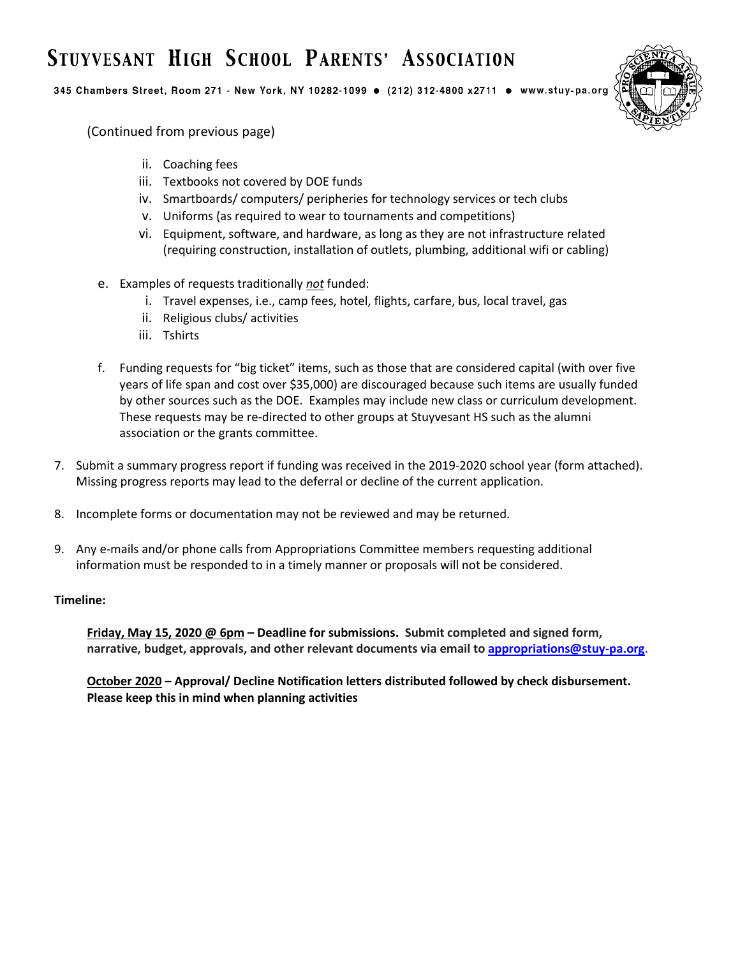# STUYVESANT HIGH SCHOOL PARENTS' ASSOCIATION

345 Chambers Street, Room 271 - New York, NY 10282-1099 · (212) 312-4800 x2711 · www.stuy-pa.org



(Continued from previous page)

- ii. Coaching fees
- iii. Textbooks not covered by DOE funds
- iv. Smartboards/ computers/ peripheries for technology services or tech clubs
- v. Uniforms (as required to wear to tournaments and competitions)
- vi. Equipment, software, and hardware, as long as they are not infrastructure related (requiring construction, installation of outlets, plumbing, additional wifi or cabling)
- e. Examples of requests traditionally *not* funded:
	- i. Travel expenses, i.e., camp fees, hotel, flights, carfare, bus, local travel, gas
	- ii. Religious clubs/ activities
	- iii. Tshirts
- f. Funding requests for "big ticket" items, such as those that are considered capital (with over five years of life span and cost over \$35,000) are discouraged because such items are usually funded by other sources such as the DOE. Examples may include new class or curriculum development. These requests may be re-directed to other groups at Stuyvesant HS such as the alumni association or the grants committee.
- 7. Submit a summary progress report if funding was received in the 2019-2020 school year (form attached). Missing progress reports may lead to the deferral or decline of the current application.
- 8. Incomplete forms or documentation may not be reviewed and may be returned.
- 9. Any e-mails and/or phone calls from Appropriations Committee members requesting additional information must be responded to in a timely manner or proposals will not be considered.

#### **Timeline:**

**Friday, May 15, 2020 @ 6pm – Deadline for submissions. Submit completed and signed form, narrative, budget, approvals, and other relevant documents via email to [appropriations@stuy-pa.org.](mailto:appropriations@stuy-pa.org)** 

**October 2020 – Approval/ Decline Notification letters distributed followed by check disbursement. Please keep this in mind when planning activities**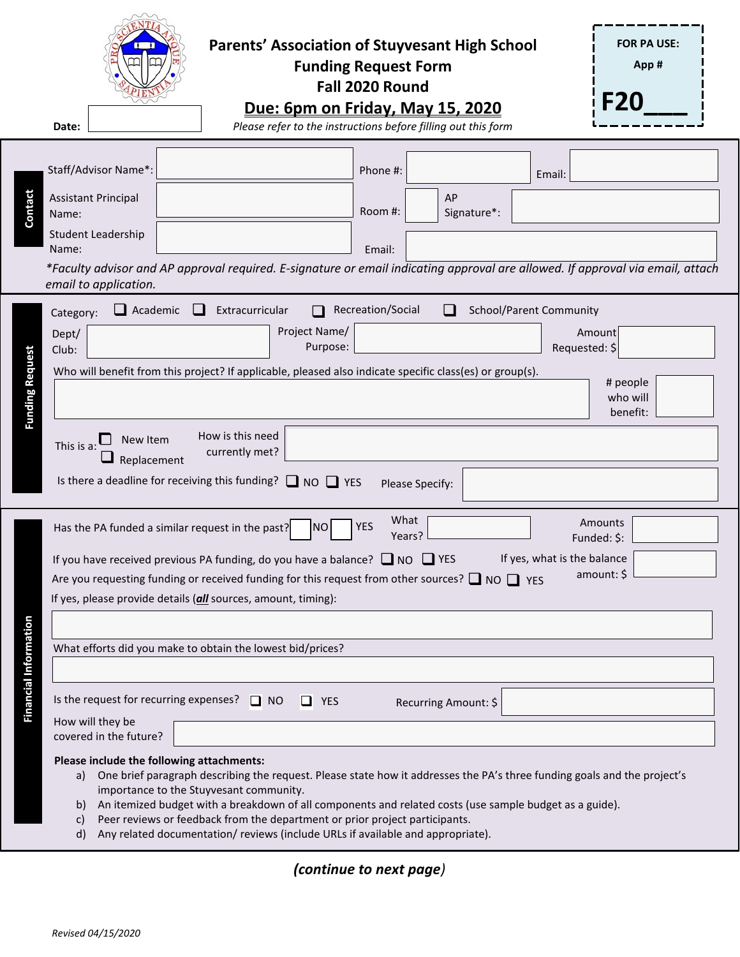|                                                                                                                                                                                                                                                                                                                                                                                                                                                                                                                                                                                                                                                                                                                                                                                                                                                                                                                                                                                                                                                                                                                                                                                                                   | <b>FOR PA USE:</b><br><b>Parents' Association of Stuyvesant High School</b><br><b>Funding Request Form</b><br>App#<br>Fall 2020 Round<br><b>F20</b><br>Due: 6pm on Friday, May 15, 2020<br>Please refer to the instructions before filling out this form<br>Date:                                                                                                                                                                                                                                            |  |  |  |  |  |  |  |  |
|-------------------------------------------------------------------------------------------------------------------------------------------------------------------------------------------------------------------------------------------------------------------------------------------------------------------------------------------------------------------------------------------------------------------------------------------------------------------------------------------------------------------------------------------------------------------------------------------------------------------------------------------------------------------------------------------------------------------------------------------------------------------------------------------------------------------------------------------------------------------------------------------------------------------------------------------------------------------------------------------------------------------------------------------------------------------------------------------------------------------------------------------------------------------------------------------------------------------|--------------------------------------------------------------------------------------------------------------------------------------------------------------------------------------------------------------------------------------------------------------------------------------------------------------------------------------------------------------------------------------------------------------------------------------------------------------------------------------------------------------|--|--|--|--|--|--|--|--|
| Contact                                                                                                                                                                                                                                                                                                                                                                                                                                                                                                                                                                                                                                                                                                                                                                                                                                                                                                                                                                                                                                                                                                                                                                                                           | Staff/Advisor Name*:<br>Phone #:<br>Email:<br>AP<br><b>Assistant Principal</b><br>Room #:<br>Signature*:<br>Name:<br>Student Leadership<br>Name:<br>Email:<br>*Faculty advisor and AP approval required. E-signature or email indicating approval are allowed. If approval via email, attach<br>email to application.                                                                                                                                                                                        |  |  |  |  |  |  |  |  |
| <b>Funding Request</b>                                                                                                                                                                                                                                                                                                                                                                                                                                                                                                                                                                                                                                                                                                                                                                                                                                                                                                                                                                                                                                                                                                                                                                                            | Recreation/Social<br>School/Parent Community<br>$\Box$ Academic<br>Extracurricular<br>$\Box$<br>Category:<br>Project Name/<br>Amount<br>Dept/<br>Purpose:<br>Requested: \$<br>Club:<br>Who will benefit from this project? If applicable, pleased also indicate specific class(es) or group(s).<br># people<br>who will<br>benefit:<br>How is this need<br>New Item<br>This is a<br>currently met?<br>Replacement<br>Is there a deadline for receiving this funding? $\Box$ NO $\Box$ YES<br>Please Specify: |  |  |  |  |  |  |  |  |
| What<br>Amounts<br><b>YES</b><br>Has the PA funded a similar request in the past?<br>N <sub>O</sub><br>Years?<br>Funded: \$:<br>If yes, what is the balance<br>If you have received previous PA funding, do you have a balance? $\Box$ NO $\Box$ YES<br>amount: \$<br>Are you requesting funding or received funding for this request from other sources? $\Box$ NO $\Box$ YES<br>If yes, please provide details (all sources, amount, timing):<br>Financial Information<br>What efforts did you make to obtain the lowest bid/prices?<br>Is the request for recurring expenses?<br>$\Box$ NO<br><b>YES</b><br>l 1<br>Recurring Amount: \$<br>How will they be<br>covered in the future?<br>Please include the following attachments:<br>One brief paragraph describing the request. Please state how it addresses the PA's three funding goals and the project's<br>a)<br>importance to the Stuyvesant community.<br>An itemized budget with a breakdown of all components and related costs (use sample budget as a guide).<br>b)<br>Peer reviews or feedback from the department or prior project participants.<br>C)<br>Any related documentation/ reviews (include URLs if available and appropriate).<br>d) |                                                                                                                                                                                                                                                                                                                                                                                                                                                                                                              |  |  |  |  |  |  |  |  |

*(continue to next page)*

 $\overline{1}$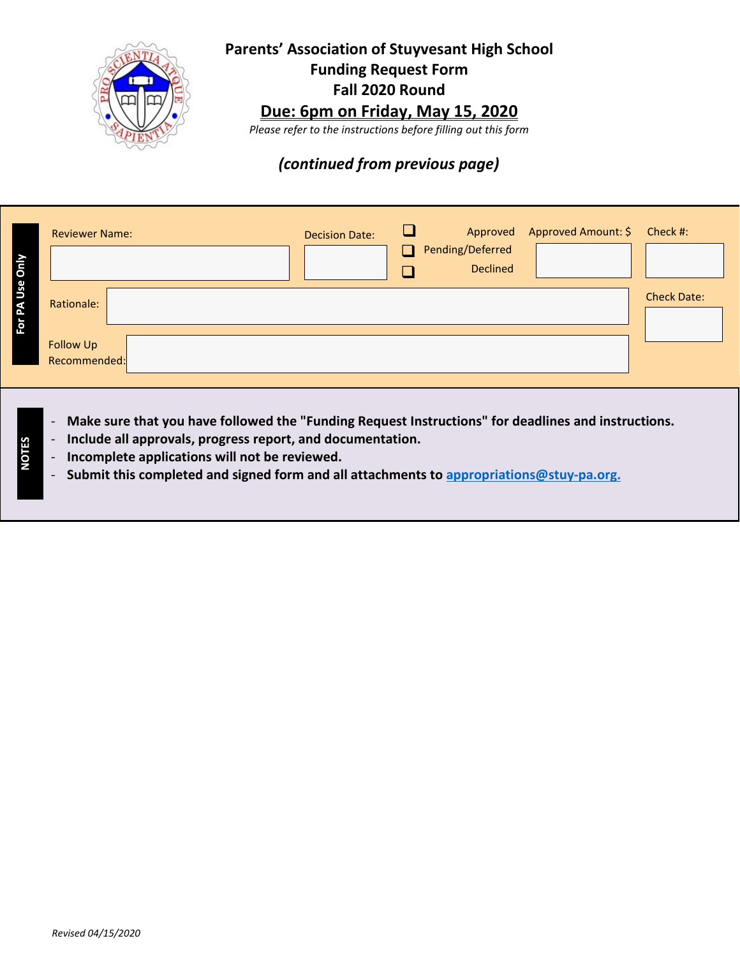

### **Parents' Association of Stuyvesant High School Funding Request Form Fall 2020 Round**

## **Due: 6pm on Friday, May 15, 2020**

*Please refer to the instructions before filling out this form*

### *(continued from previous page)*

| Only          | <b>Reviewer Name:</b>     | <b>Decision Date:</b> | <b>H</b> | Pending/Deferred<br><b>Declined</b> | Approved Approved Amount: \$ Check #: |                    |
|---------------|---------------------------|-----------------------|----------|-------------------------------------|---------------------------------------|--------------------|
| Use<br>R<br>ğ | Rationale:                |                       |          |                                     |                                       | <b>Check Date:</b> |
|               | Follow Up<br>Recommended: |                       |          |                                     |                                       |                    |

- Make sure that you have followed the "Funding Request Instructions" for deadlines and instructions.
- **Include all approvals, progress report, and documentation.**
- **Incomplete applications will not be reviewed.**
- **Submit this completed and signed form and all attachments to [appropriations@stuy‐pa.org.](mailto:appropriations@stuy%E2%80%90pa.org)**

**NOTES**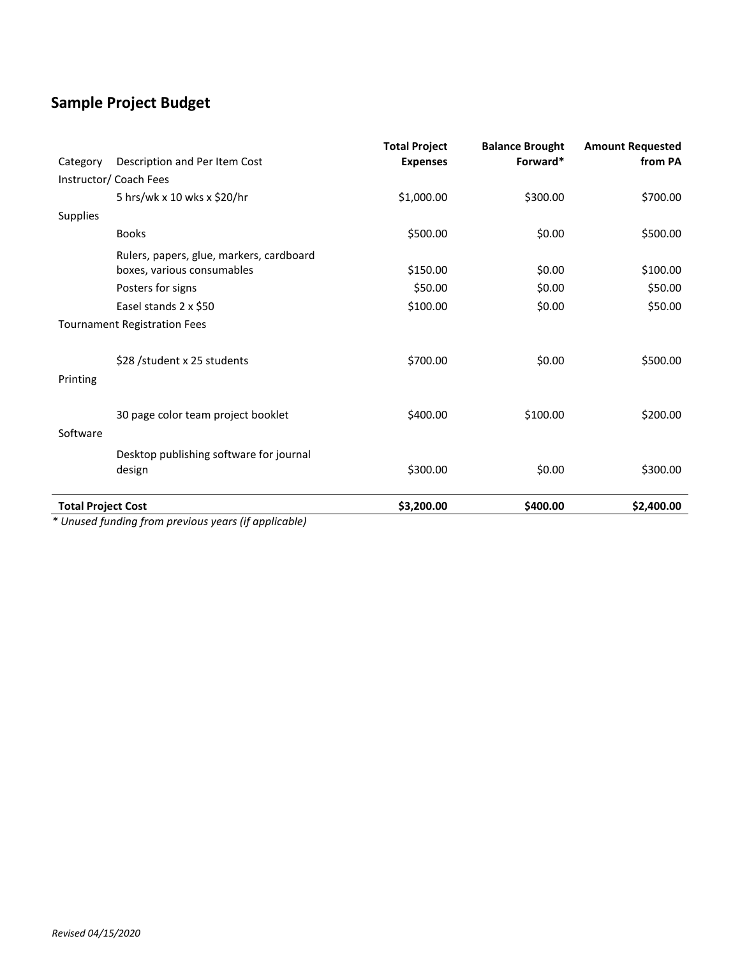## **Sample Project Budget**

| <b>Total Project Cost</b> |                                                                        | \$3,200.00                              | \$400.00                           | \$2,400.00                         |
|---------------------------|------------------------------------------------------------------------|-----------------------------------------|------------------------------------|------------------------------------|
|                           | Desktop publishing software for journal<br>design                      | \$300.00                                | \$0.00                             | \$300.00                           |
| Software                  |                                                                        |                                         |                                    |                                    |
|                           | 30 page color team project booklet                                     | \$400.00                                | \$100.00                           | \$200.00                           |
| Printing                  |                                                                        |                                         |                                    |                                    |
|                           | \$28 /student x 25 students                                            | \$700.00                                | \$0.00                             | \$500.00                           |
|                           | <b>Tournament Registration Fees</b>                                    |                                         |                                    |                                    |
|                           | Easel stands 2 x \$50                                                  | \$100.00                                | \$0.00                             | \$50.00                            |
|                           | Posters for signs                                                      | \$50.00                                 | \$0.00                             | \$50.00                            |
|                           | Rulers, papers, glue, markers, cardboard<br>boxes, various consumables | \$150.00                                | \$0.00                             | \$100.00                           |
|                           | <b>Books</b>                                                           | \$500.00                                | \$0.00                             | \$500.00                           |
| <b>Supplies</b>           |                                                                        |                                         |                                    |                                    |
|                           | 5 hrs/wk x 10 wks x \$20/hr                                            | \$1,000.00                              | \$300.00                           | \$700.00                           |
|                           | Instructor/ Coach Fees                                                 |                                         |                                    |                                    |
| Category                  | Description and Per Item Cost                                          | <b>Total Project</b><br><b>Expenses</b> | <b>Balance Brought</b><br>Forward* | <b>Amount Requested</b><br>from PA |

*\* Unused funding from previous years (if applicable)*